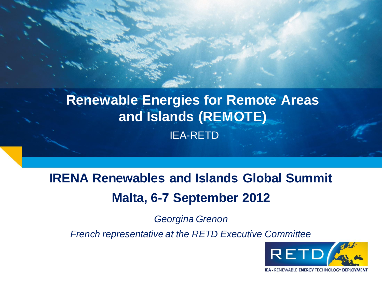## **Renewable Energies for Remote Areas and Islands (REMOTE)** IEA-RETD

# **IRENA Renewables and Islands Global Summit Malta, 6-7 September 2012**

*Georgina Grenon* 

*French representative at the RETD Executive Committee*

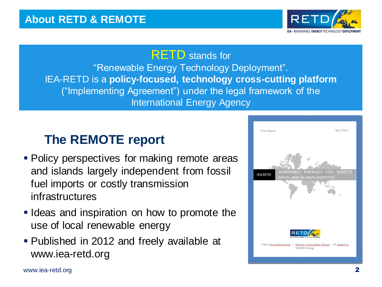

#### RETD stands for "Renewable Energy Technology Deployment". IEA-RETD is a **policy-focused, technology cross-cutting platform**  ("Implementing Agreement") under the legal framework of the International Energy Agency

### **The REMOTE report**

- Policy perspectives for making remote areas and islands largely independent from fossil fuel imports or costly transmission infrastructures
- I I deas and inspiration on how to promote the use of local renewable energy
- Published in 2012 and freely available at www.iea-retd.org

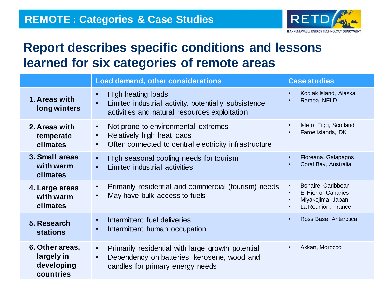

#### **Report describes specific conditions and lessons learned for six categories of remote areas**

|                                                          | <b>Load demand, other considerations</b>                                                                                                                          | <b>Case studies</b>                                                                               |
|----------------------------------------------------------|-------------------------------------------------------------------------------------------------------------------------------------------------------------------|---------------------------------------------------------------------------------------------------|
| 1. Areas with<br>long winters                            | High heating loads<br>$\bullet$<br>Limited industrial activity, potentially subsistence<br>$\bullet$<br>activities and natural resources exploitation             | Kodiak Island, Alaska<br>$\bullet$<br>Ramea, NFLD                                                 |
| 2. Areas with<br>temperate<br>climates                   | Not prone to environmental extremes<br>$\bullet$<br>Relatively high heat loads<br>$\bullet$<br>Often connected to central electricity infrastructure<br>$\bullet$ | Isle of Eigg, Scotland<br>Faroe Islands, DK                                                       |
| 3. Small areas<br>with warm<br>climates                  | High seasonal cooling needs for tourism<br>$\bullet$<br>Limited industrial activities<br>$\bullet$                                                                | Floreana, Galapagos<br>$\bullet$<br>Coral Bay, Australia                                          |
| 4. Large areas<br>with warm<br>climates                  | Primarily residential and commercial (tourism) needs<br>$\bullet$<br>May have bulk access to fuels<br>$\bullet$                                                   | Bonaire, Caribbean<br>El Hierro, Canaries<br>Miyakojima, Japan<br>La Reunion, France<br>$\bullet$ |
| 5. Research<br><b>stations</b>                           | Intermittent fuel deliveries<br>$\bullet$<br>Intermittent human occupation<br>$\bullet$                                                                           | Ross Base, Antarctica<br>$\bullet$                                                                |
| 6. Other areas,<br>largely in<br>developing<br>countries | Primarily residential with large growth potential<br>$\bullet$<br>Dependency on batteries, kerosene, wood and<br>$\bullet$<br>candles for primary energy needs    | Akkan, Morocco<br>$\bullet$                                                                       |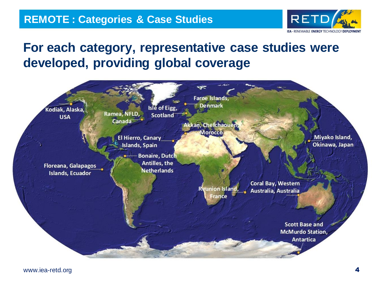

#### **For each category, representative case studies were developed, providing global coverage**

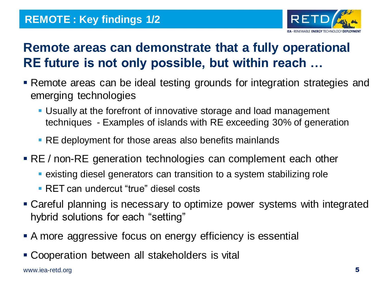

### **Remote areas can demonstrate that a fully operational RE future is not only possible, but within reach …**

- Remote areas can be ideal testing grounds for integration strategies and emerging technologies
	- Usually at the forefront of innovative storage and load management techniques - Examples of islands with RE exceeding 30% of generation
	- **RE deployment for those areas also benefits mainlands**
- **RE** / non-RE generation technologies can complement each other
	- existing diesel generators can transition to a system stabilizing role
	- RET can undercut "true" diesel costs
- Careful planning is necessary to optimize power systems with integrated hybrid solutions for each "setting"
- A more aggressive focus on energy efficiency is essential
- Cooperation between all stakeholders is vital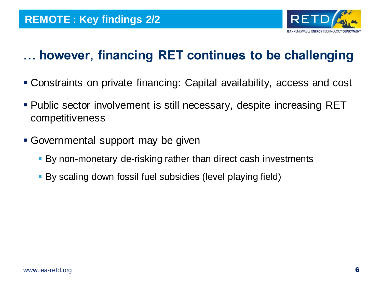

### **… however, financing RET continues to be challenging**

- Constraints on private financing: Capital availability, access and cost
- Public sector involvement is still necessary, despite increasing RET competitiveness
- Governmental support may be given
	- By non-monetary de-risking rather than direct cash investments
	- By scaling down fossil fuel subsidies (level playing field)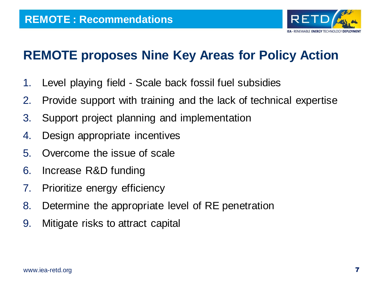

#### **REMOTE proposes Nine Key Areas for Policy Action**

- 1. Level playing field Scale back fossil fuel subsidies
- 2. Provide support with training and the lack of technical expertise
- 3. Support project planning and implementation
- 4. Design appropriate incentives
- 5. Overcome the issue of scale
- 6. Increase R&D funding
- 7. Prioritize energy efficiency
- 8. Determine the appropriate level of RE penetration
- 9. Mitigate risks to attract capital